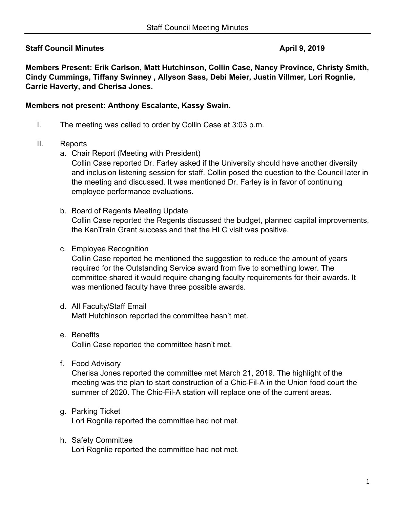# **Staff Council Minutes April 9, 2019**

**Members Present: Erik Carlson, Matt Hutchinson, Collin Case, Nancy Province, Christy Smith, Cindy Cummings, Tiffany Swinney , Allyson Sass, Debi Meier, Justin Villmer, Lori Rognlie, Carrie Haverty, and Cherisa Jones.** 

### **Members not present: Anthony Escalante, Kassy Swain.**

- I. The meeting was called to order by Collin Case at 3:03 p.m.
- II. Reports
	- a. Chair Report (Meeting with President)

Collin Case reported Dr. Farley asked if the University should have another diversity and inclusion listening session for staff. Collin posed the question to the Council later in the meeting and discussed. It was mentioned Dr. Farley is in favor of continuing employee performance evaluations.

- b. Board of Regents Meeting Update Collin Case reported the Regents discussed the budget, planned capital improvements, the KanTrain Grant success and that the HLC visit was positive.
- c. Employee Recognition

Collin Case reported he mentioned the suggestion to reduce the amount of years required for the Outstanding Service award from five to something lower. The committee shared it would require changing faculty requirements for their awards. It was mentioned faculty have three possible awards.

- d. All Faculty/Staff Email Matt Hutchinson reported the committee hasn't met.
- e. Benefits Collin Case reported the committee hasn't met.
- f. Food Advisory

Cherisa Jones reported the committee met March 21, 2019. The highlight of the meeting was the plan to start construction of a Chic-Fil-A in the Union food court the summer of 2020. The Chic-Fil-A station will replace one of the current areas.

- g. Parking Ticket Lori Rognlie reported the committee had not met.
- h. Safety Committee Lori Rognlie reported the committee had not met.